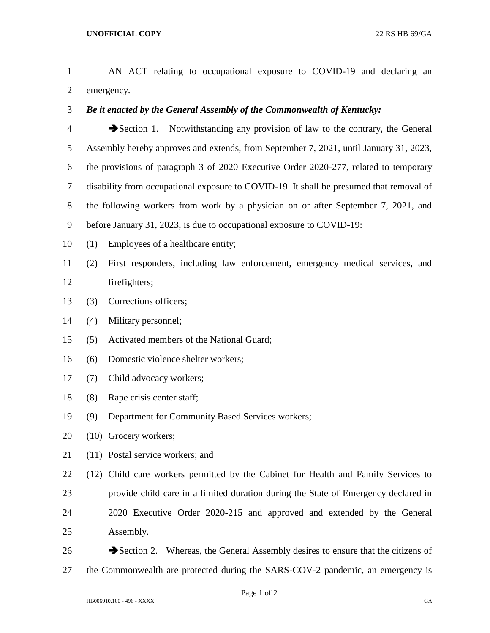AN ACT relating to occupational exposure to COVID-19 and declaring an emergency.

*Be it enacted by the General Assembly of the Commonwealth of Kentucky:*

 Section 1. Notwithstanding any provision of law to the contrary, the General Assembly hereby approves and extends, from September 7, 2021, until January 31, 2023, the provisions of paragraph 3 of 2020 Executive Order 2020-277, related to temporary disability from occupational exposure to COVID-19. It shall be presumed that removal of the following workers from work by a physician on or after September 7, 2021, and before January 31, 2023, is due to occupational exposure to COVID-19:

- (1) Employees of a healthcare entity;
- (2) First responders, including law enforcement, emergency medical services, and firefighters;
- (3) Corrections officers;
- (4) Military personnel;
- (5) Activated members of the National Guard;
- (6) Domestic violence shelter workers;
- (7) Child advocacy workers;
- (8) Rape crisis center staff;
- (9) Department for Community Based Services workers;
- (10) Grocery workers;
- (11) Postal service workers; and

(12) Child care workers permitted by the Cabinet for Health and Family Services to

- provide child care in a limited duration during the State of Emergency declared in
- 2020 Executive Order 2020-215 and approved and extended by the General Assembly.
- $\rightarrow$  Section 2. Whereas, the General Assembly desires to ensure that the citizens of the Commonwealth are protected during the SARS-COV-2 pandemic, an emergency is